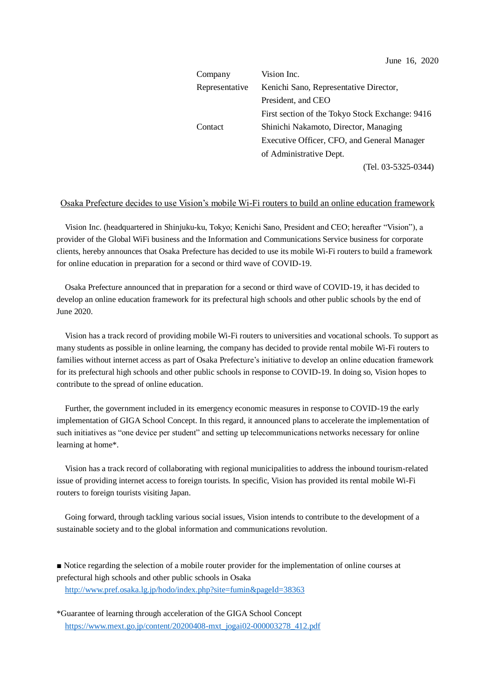| Company        | Vision Inc.                                     |
|----------------|-------------------------------------------------|
| Representative | Kenichi Sano, Representative Director,          |
|                | President, and CEO                              |
|                | First section of the Tokyo Stock Exchange: 9416 |
| Contact        | Shinichi Nakamoto, Director, Managing           |
|                | Executive Officer, CFO, and General Manager     |
|                | of Administrative Dept.                         |
|                | (Tel. 03-5325-0344)                             |

## Osaka Prefecture decides to use Vision's mobile Wi-Fi routers to build an online education framework

Vision Inc. (headquartered in Shinjuku-ku, Tokyo; Kenichi Sano, President and CEO; hereafter "Vision"), a provider of the Global WiFi business and the Information and Communications Service business for corporate clients, hereby announces that Osaka Prefecture has decided to use its mobile Wi-Fi routers to build a framework for online education in preparation for a second or third wave of COVID-19.

Osaka Prefecture announced that in preparation for a second or third wave of COVID-19, it has decided to develop an online education framework for its prefectural high schools and other public schools by the end of June 2020.

Vision has a track record of providing mobile Wi-Fi routers to universities and vocational schools. To support as many students as possible in online learning, the company has decided to provide rental mobile Wi-Fi routers to families without internet access as part of Osaka Prefecture's initiative to develop an online education framework for its prefectural high schools and other public schools in response to COVID-19. In doing so, Vision hopes to contribute to the spread of online education.

Further, the government included in its emergency economic measures in response to COVID-19 the early implementation of GIGA School Concept. In this regard, it announced plans to accelerate the implementation of such initiatives as "one device per student" and setting up telecommunications networks necessary for online learning at home\*.

Vision has a track record of collaborating with regional municipalities to address the inbound tourism-related issue of providing internet access to foreign tourists. In specific, Vision has provided its rental mobile Wi-Fi routers to foreign tourists visiting Japan.

Going forward, through tackling various social issues, Vision intends to contribute to the development of a sustainable society and to the global information and communications revolution.

**■** Notice regarding the selection of a mobile router provider for the implementation of online courses at prefectural high schools and other public schools in Osaka <http://www.pref.osaka.lg.jp/hodo/index.php?site=fumin&pageId=38363>

\*Guarantee of learning through acceleration of the GIGA School Concept [https://www.mext.go.jp/content/20200408-mxt\\_jogai02-000003278\\_412.pdf](https://www.mext.go.jp/content/20200408-mxt_jogai02-000003278_412.pdf)